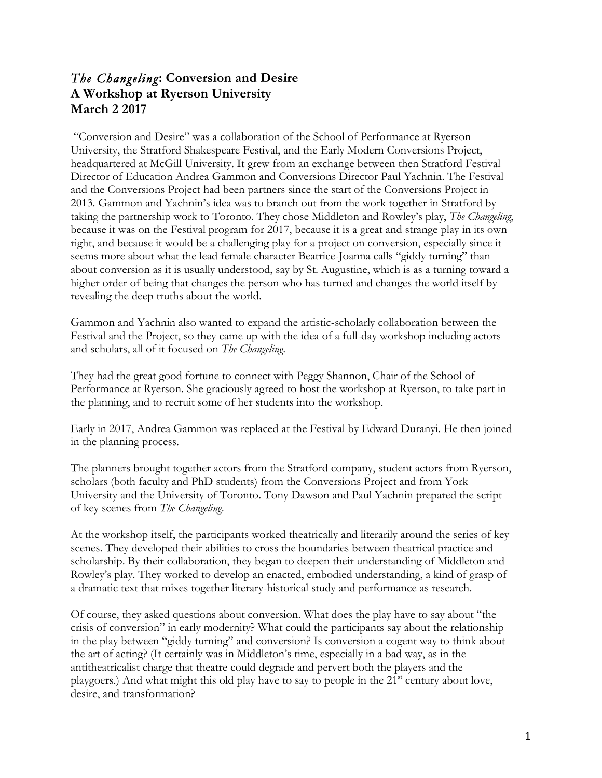# *The Changeling***: Conversion and Desire A Workshop at Ryerson University March 2 2017**

"Conversion and Desire" was a collaboration of the School of Performance at Ryerson University, the Stratford Shakespeare Festival, and the Early Modern Conversions Project, headquartered at McGill University. It grew from an exchange between then Stratford Festival Director of Education Andrea Gammon and Conversions Director Paul Yachnin. The Festival and the Conversions Project had been partners since the start of the Conversions Project in 2013. Gammon and Yachnin's idea was to branch out from the work together in Stratford by taking the partnership work to Toronto. They chose Middleton and Rowley's play, *The Changeling*, because it was on the Festival program for 2017, because it is a great and strange play in its own right, and because it would be a challenging play for a project on conversion, especially since it seems more about what the lead female character Beatrice-Joanna calls "giddy turning" than about conversion as it is usually understood, say by St. Augustine, which is as a turning toward a higher order of being that changes the person who has turned and changes the world itself by revealing the deep truths about the world.

Gammon and Yachnin also wanted to expand the artistic-scholarly collaboration between the Festival and the Project, so they came up with the idea of a full-day workshop including actors and scholars, all of it focused on *The Changeling*.

They had the great good fortune to connect with Peggy Shannon, Chair of the School of Performance at Ryerson. She graciously agreed to host the workshop at Ryerson, to take part in the planning, and to recruit some of her students into the workshop.

Early in 2017, Andrea Gammon was replaced at the Festival by Edward Duranyi. He then joined in the planning process.

The planners brought together actors from the Stratford company, student actors from Ryerson, scholars (both faculty and PhD students) from the Conversions Project and from York University and the University of Toronto. Tony Dawson and Paul Yachnin prepared the script of key scenes from *The Changeling*.

At the workshop itself, the participants worked theatrically and literarily around the series of key scenes. They developed their abilities to cross the boundaries between theatrical practice and scholarship. By their collaboration, they began to deepen their understanding of Middleton and Rowley's play. They worked to develop an enacted, embodied understanding, a kind of grasp of a dramatic text that mixes together literary-historical study and performance as research.

Of course, they asked questions about conversion. What does the play have to say about "the crisis of conversion" in early modernity? What could the participants say about the relationship in the play between "giddy turning" and conversion? Is conversion a cogent way to think about the art of acting? (It certainly was in Middleton's time, especially in a bad way, as in the antitheatricalist charge that theatre could degrade and pervert both the players and the playgoers.) And what might this old play have to say to people in the 21<sup>st</sup> century about love, desire, and transformation?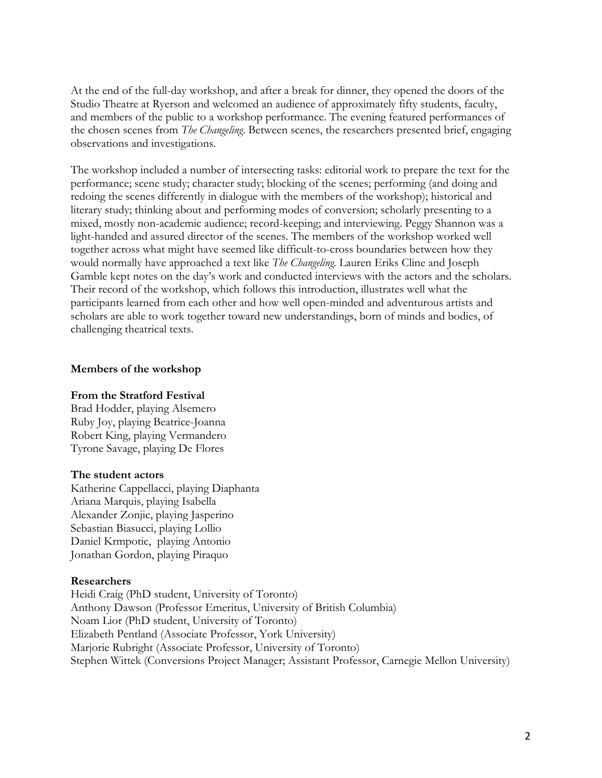At the end of the full-day workshop, and after a break for dinner, they opened the doors of the Studio Theatre at Ryerson and welcomed an audience of approximately fifty students, faculty, and members of the public to a workshop performance. The evening featured performances of the chosen scenes from *The Changeling*. Between scenes, the researchers presented brief, engaging observations and investigations.

The workshop included a number of intersecting tasks: editorial work to prepare the text for the performance; scene study; character study; blocking of the scenes; performing (and doing and redoing the scenes differently in dialogue with the members of the workshop); historical and literary study; thinking about and performing modes of conversion; scholarly presenting to a mixed, mostly non-academic audience; record-keeping; and interviewing. Peggy Shannon was a light-handed and assured director of the scenes. The members of the workshop worked well together across what might have seemed like difficult-to-cross boundaries between how they would normally have approached a text like *The Changeling.* Lauren Eriks Cline and Joseph Gamble kept notes on the day's work and conducted interviews with the actors and the scholars. Their record of the workshop, which follows this introduction, illustrates well what the participants learned from each other and how well open-minded and adventurous artists and scholars are able to work together toward new understandings, born of minds and bodies, of challenging theatrical texts.

#### **Members of the workshop**

#### **From the Stratford Festival**

Brad Hodder, playing Alsemero Ruby Joy, playing Beatrice-Joanna Robert King, playing Vermandero Tyrone Savage, playing De Flores

#### **The student actors**

Katherine Cappellacci, playing Diaphanta Ariana Marquis, playing Isabella Alexander Zonjic, playing Jasperino Sebastian Biasucci, playing Lollio Daniel Krmpotic, playing Antonio Jonathan Gordon, playing Piraquo

#### **Researchers**

Heidi Craig (PhD student, University of Toronto) Anthony Dawson (Professor Emeritus, University of British Columbia) Noam Lior (PhD student, University of Toronto) Elizabeth Pentland (Associate Professor, York University) Marjorie Rubright (Associate Professor, University of Toronto) Stephen Wittek (Conversions Project Manager; Assistant Professor, Carnegie Mellon University)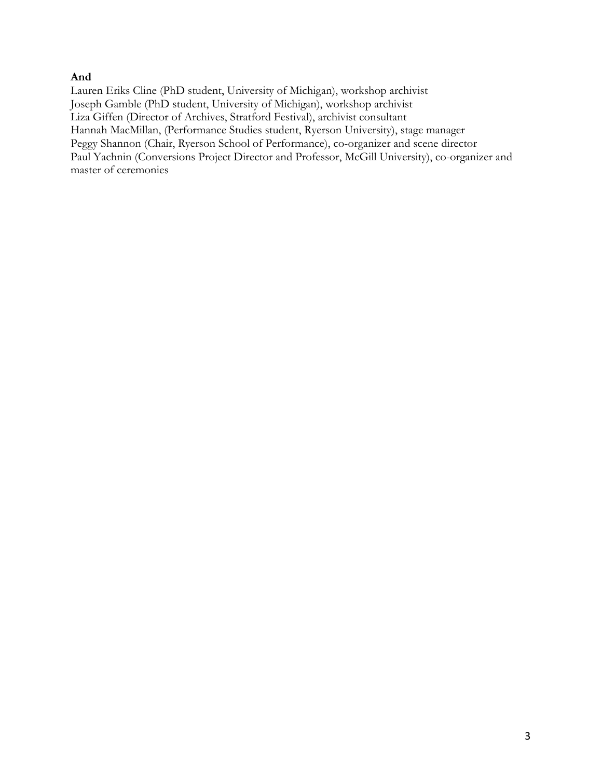## **And**

Lauren Eriks Cline (PhD student, University of Michigan), workshop archivist Joseph Gamble (PhD student, University of Michigan), workshop archivist Liza Giffen (Director of Archives, Stratford Festival), archivist consultant Hannah MacMillan, (Performance Studies student, Ryerson University), stage manager Peggy Shannon (Chair, Ryerson School of Performance), co-organizer and scene director Paul Yachnin (Conversions Project Director and Professor, McGill University), co-organizer and master of ceremonies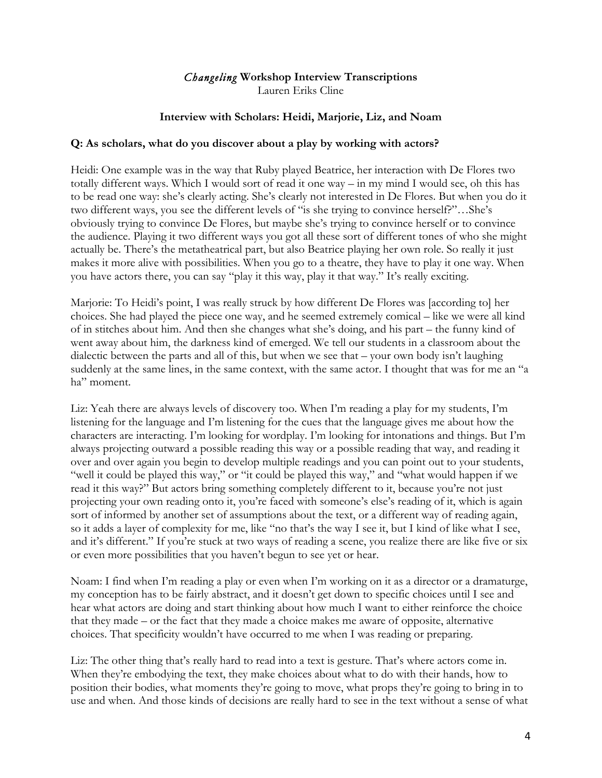# *Changeling* **Workshop Interview Transcriptions**

Lauren Eriks Cline

## **Interview with Scholars: Heidi, Marjorie, Liz, and Noam**

### **Q: As scholars, what do you discover about a play by working with actors?**

Heidi: One example was in the way that Ruby played Beatrice, her interaction with De Flores two totally different ways. Which I would sort of read it one way – in my mind I would see, oh this has to be read one way: she's clearly acting. She's clearly not interested in De Flores. But when you do it two different ways, you see the different levels of "is she trying to convince herself?"…She's obviously trying to convince De Flores, but maybe she's trying to convince herself or to convince the audience. Playing it two different ways you got all these sort of different tones of who she might actually be. There's the metatheatrical part, but also Beatrice playing her own role. So really it just makes it more alive with possibilities. When you go to a theatre, they have to play it one way. When you have actors there, you can say "play it this way, play it that way." It's really exciting.

Marjorie: To Heidi's point, I was really struck by how different De Flores was [according to] her choices. She had played the piece one way, and he seemed extremely comical – like we were all kind of in stitches about him. And then she changes what she's doing, and his part – the funny kind of went away about him, the darkness kind of emerged. We tell our students in a classroom about the dialectic between the parts and all of this, but when we see that – your own body isn't laughing suddenly at the same lines, in the same context, with the same actor. I thought that was for me an "a ha" moment.

Liz: Yeah there are always levels of discovery too. When I'm reading a play for my students, I'm listening for the language and I'm listening for the cues that the language gives me about how the characters are interacting. I'm looking for wordplay. I'm looking for intonations and things. But I'm always projecting outward a possible reading this way or a possible reading that way, and reading it over and over again you begin to develop multiple readings and you can point out to your students, "well it could be played this way," or "it could be played this way," and "what would happen if we read it this way?" But actors bring something completely different to it, because you're not just projecting your own reading onto it, you're faced with someone's else's reading of it, which is again sort of informed by another set of assumptions about the text, or a different way of reading again, so it adds a layer of complexity for me, like "no that's the way I see it, but I kind of like what I see, and it's different." If you're stuck at two ways of reading a scene, you realize there are like five or six or even more possibilities that you haven't begun to see yet or hear.

Noam: I find when I'm reading a play or even when I'm working on it as a director or a dramaturge, my conception has to be fairly abstract, and it doesn't get down to specific choices until I see and hear what actors are doing and start thinking about how much I want to either reinforce the choice that they made – or the fact that they made a choice makes me aware of opposite, alternative choices. That specificity wouldn't have occurred to me when I was reading or preparing.

Liz: The other thing that's really hard to read into a text is gesture. That's where actors come in. When they're embodying the text, they make choices about what to do with their hands, how to position their bodies, what moments they're going to move, what props they're going to bring in to use and when. And those kinds of decisions are really hard to see in the text without a sense of what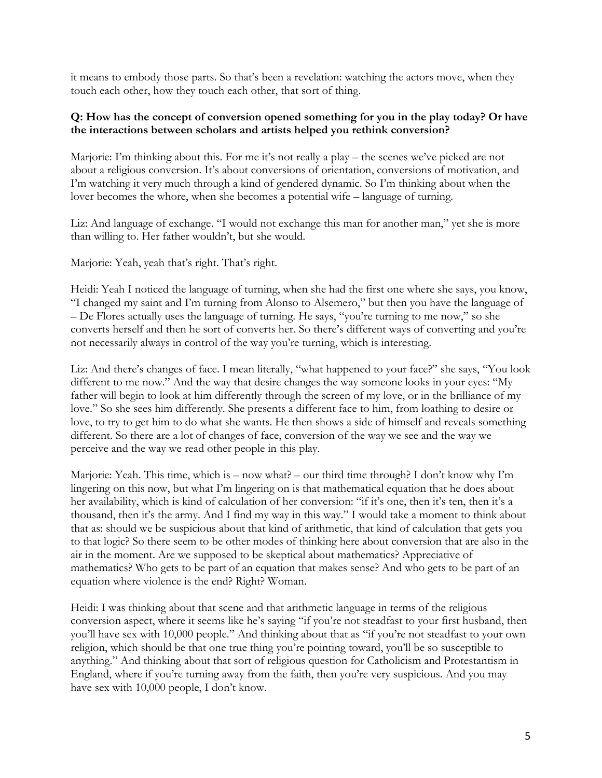it means to embody those parts. So that's been a revelation: watching the actors move, when they touch each other, how they touch each other, that sort of thing.

## **Q: How has the concept of conversion opened something for you in the play today? Or have the interactions between scholars and artists helped you rethink conversion?**

Marjorie: I'm thinking about this. For me it's not really a play – the scenes we've picked are not about a religious conversion. It's about conversions of orientation, conversions of motivation, and I'm watching it very much through a kind of gendered dynamic. So I'm thinking about when the lover becomes the whore, when she becomes a potential wife – language of turning.

Liz: And language of exchange. "I would not exchange this man for another man," yet she is more than willing to. Her father wouldn't, but she would.

Marjorie: Yeah, yeah that's right. That's right.

Heidi: Yeah I noticed the language of turning, when she had the first one where she says, you know, "I changed my saint and I'm turning from Alonso to Alsemero," but then you have the language of – De Flores actually uses the language of turning. He says, "you're turning to me now," so she converts herself and then he sort of converts her. So there's different ways of converting and you're not necessarily always in control of the way you're turning, which is interesting.

Liz: And there's changes of face. I mean literally, "what happened to your face?" she says, "You look different to me now." And the way that desire changes the way someone looks in your eyes: "My father will begin to look at him differently through the screen of my love, or in the brilliance of my love." So she sees him differently. She presents a different face to him, from loathing to desire or love, to try to get him to do what she wants. He then shows a side of himself and reveals something different. So there are a lot of changes of face, conversion of the way we see and the way we perceive and the way we read other people in this play.

Marjorie: Yeah. This time, which is – now what? – our third time through? I don't know why I'm lingering on this now, but what I'm lingering on is that mathematical equation that he does about her availability, which is kind of calculation of her conversion: "if it's one, then it's ten, then it's a thousand, then it's the army. And I find my way in this way." I would take a moment to think about that as: should we be suspicious about that kind of arithmetic, that kind of calculation that gets you to that logic? So there seem to be other modes of thinking here about conversion that are also in the air in the moment. Are we supposed to be skeptical about mathematics? Appreciative of mathematics? Who gets to be part of an equation that makes sense? And who gets to be part of an equation where violence is the end? Right? Woman.

Heidi: I was thinking about that scene and that arithmetic language in terms of the religious conversion aspect, where it seems like he's saying "if you're not steadfast to your first husband, then you'll have sex with 10,000 people." And thinking about that as "if you're not steadfast to your own religion, which should be that one true thing you're pointing toward, you'll be so susceptible to anything." And thinking about that sort of religious question for Catholicism and Protestantism in England, where if you're turning away from the faith, then you're very suspicious. And you may have sex with 10,000 people, I don't know.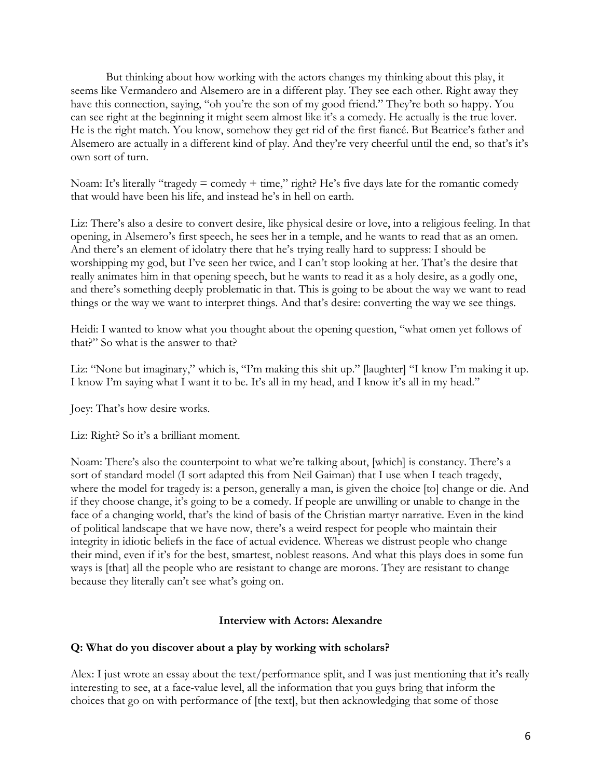But thinking about how working with the actors changes my thinking about this play, it seems like Vermandero and Alsemero are in a different play. They see each other. Right away they have this connection, saying, "oh you're the son of my good friend." They're both so happy. You can see right at the beginning it might seem almost like it's a comedy. He actually is the true lover. He is the right match. You know, somehow they get rid of the first fiancé. But Beatrice's father and Alsemero are actually in a different kind of play. And they're very cheerful until the end, so that's it's own sort of turn.

Noam: It's literally "tragedy  $=$  comedy  $+$  time," right? He's five days late for the romantic comedy that would have been his life, and instead he's in hell on earth.

Liz: There's also a desire to convert desire, like physical desire or love, into a religious feeling. In that opening, in Alsemero's first speech, he sees her in a temple, and he wants to read that as an omen. And there's an element of idolatry there that he's trying really hard to suppress: I should be worshipping my god, but I've seen her twice, and I can't stop looking at her. That's the desire that really animates him in that opening speech, but he wants to read it as a holy desire, as a godly one, and there's something deeply problematic in that. This is going to be about the way we want to read things or the way we want to interpret things. And that's desire: converting the way we see things.

Heidi: I wanted to know what you thought about the opening question, "what omen yet follows of that?" So what is the answer to that?

Liz: "None but imaginary," which is, "I'm making this shit up." [laughter] "I know I'm making it up. I know I'm saying what I want it to be. It's all in my head, and I know it's all in my head."

Joey: That's how desire works.

Liz: Right? So it's a brilliant moment.

Noam: There's also the counterpoint to what we're talking about, [which] is constancy. There's a sort of standard model (I sort adapted this from Neil Gaiman) that I use when I teach tragedy, where the model for tragedy is: a person, generally a man, is given the choice [to] change or die. And if they choose change, it's going to be a comedy. If people are unwilling or unable to change in the face of a changing world, that's the kind of basis of the Christian martyr narrative. Even in the kind of political landscape that we have now, there's a weird respect for people who maintain their integrity in idiotic beliefs in the face of actual evidence. Whereas we distrust people who change their mind, even if it's for the best, smartest, noblest reasons. And what this plays does in some fun ways is [that] all the people who are resistant to change are morons. They are resistant to change because they literally can't see what's going on.

## **Interview with Actors: Alexandre**

#### **Q: What do you discover about a play by working with scholars?**

Alex: I just wrote an essay about the text/performance split, and I was just mentioning that it's really interesting to see, at a face-value level, all the information that you guys bring that inform the choices that go on with performance of [the text], but then acknowledging that some of those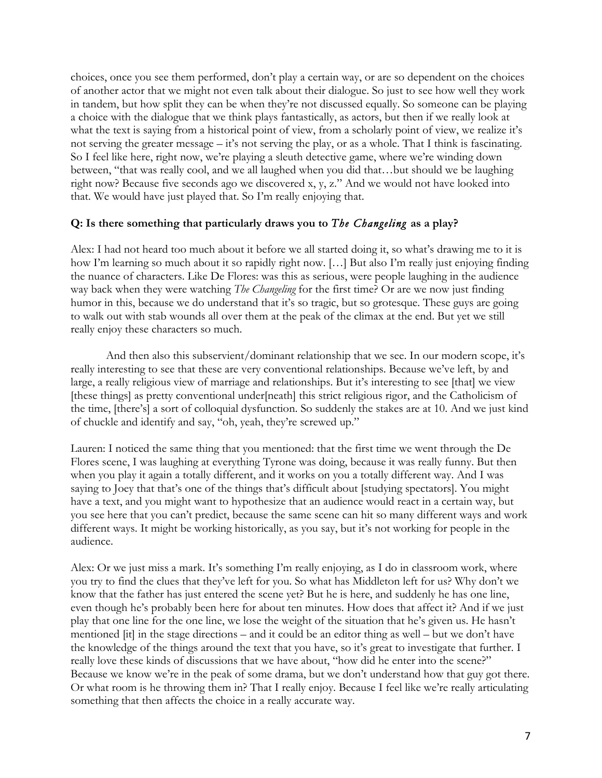choices, once you see them performed, don't play a certain way, or are so dependent on the choices of another actor that we might not even talk about their dialogue. So just to see how well they work in tandem, but how split they can be when they're not discussed equally. So someone can be playing a choice with the dialogue that we think plays fantastically, as actors, but then if we really look at what the text is saying from a historical point of view, from a scholarly point of view, we realize it's not serving the greater message – it's not serving the play, or as a whole. That I think is fascinating. So I feel like here, right now, we're playing a sleuth detective game, where we're winding down between, "that was really cool, and we all laughed when you did that…but should we be laughing right now? Because five seconds ago we discovered x, y, z." And we would not have looked into that. We would have just played that. So I'm really enjoying that.

## **Q: Is there something that particularly draws you to** *The Changeling* **as a play?**

Alex: I had not heard too much about it before we all started doing it, so what's drawing me to it is how I'm learning so much about it so rapidly right now. [...] But also I'm really just enjoying finding the nuance of characters. Like De Flores: was this as serious, were people laughing in the audience way back when they were watching *The Changeling* for the first time? Or are we now just finding humor in this, because we do understand that it's so tragic, but so grotesque. These guys are going to walk out with stab wounds all over them at the peak of the climax at the end. But yet we still really enjoy these characters so much.

And then also this subservient/dominant relationship that we see. In our modern scope, it's really interesting to see that these are very conventional relationships. Because we've left, by and large, a really religious view of marriage and relationships. But it's interesting to see [that] we view [these things] as pretty conventional under[neath] this strict religious rigor, and the Catholicism of the time, [there's] a sort of colloquial dysfunction. So suddenly the stakes are at 10. And we just kind of chuckle and identify and say, "oh, yeah, they're screwed up."

Lauren: I noticed the same thing that you mentioned: that the first time we went through the De Flores scene, I was laughing at everything Tyrone was doing, because it was really funny. But then when you play it again a totally different, and it works on you a totally different way. And I was saying to Joey that that's one of the things that's difficult about [studying spectators]. You might have a text, and you might want to hypothesize that an audience would react in a certain way, but you see here that you can't predict, because the same scene can hit so many different ways and work different ways. It might be working historically, as you say, but it's not working for people in the audience.

Alex: Or we just miss a mark. It's something I'm really enjoying, as I do in classroom work, where you try to find the clues that they've left for you. So what has Middleton left for us? Why don't we know that the father has just entered the scene yet? But he is here, and suddenly he has one line, even though he's probably been here for about ten minutes. How does that affect it? And if we just play that one line for the one line, we lose the weight of the situation that he's given us. He hasn't mentioned [it] in the stage directions – and it could be an editor thing as well – but we don't have the knowledge of the things around the text that you have, so it's great to investigate that further. I really love these kinds of discussions that we have about, "how did he enter into the scene?" Because we know we're in the peak of some drama, but we don't understand how that guy got there. Or what room is he throwing them in? That I really enjoy. Because I feel like we're really articulating something that then affects the choice in a really accurate way.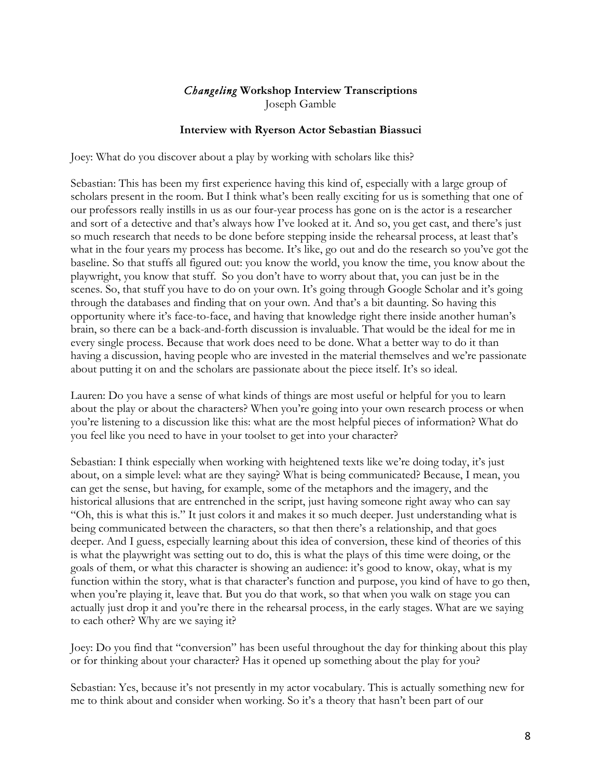## *Changeling* **Workshop Interview Transcriptions** Joseph Gamble

### **Interview with Ryerson Actor Sebastian Biassuci**

Joey: What do you discover about a play by working with scholars like this?

Sebastian: This has been my first experience having this kind of, especially with a large group of scholars present in the room. But I think what's been really exciting for us is something that one of our professors really instills in us as our four-year process has gone on is the actor is a researcher and sort of a detective and that's always how I've looked at it. And so, you get cast, and there's just so much research that needs to be done before stepping inside the rehearsal process, at least that's what in the four years my process has become. It's like, go out and do the research so you've got the baseline. So that stuffs all figured out: you know the world, you know the time, you know about the playwright, you know that stuff. So you don't have to worry about that, you can just be in the scenes. So, that stuff you have to do on your own. It's going through Google Scholar and it's going through the databases and finding that on your own. And that's a bit daunting. So having this opportunity where it's face-to-face, and having that knowledge right there inside another human's brain, so there can be a back-and-forth discussion is invaluable. That would be the ideal for me in every single process. Because that work does need to be done. What a better way to do it than having a discussion, having people who are invested in the material themselves and we're passionate about putting it on and the scholars are passionate about the piece itself. It's so ideal.

Lauren: Do you have a sense of what kinds of things are most useful or helpful for you to learn about the play or about the characters? When you're going into your own research process or when you're listening to a discussion like this: what are the most helpful pieces of information? What do you feel like you need to have in your toolset to get into your character?

Sebastian: I think especially when working with heightened texts like we're doing today, it's just about, on a simple level: what are they saying? What is being communicated? Because, I mean, you can get the sense, but having, for example, some of the metaphors and the imagery, and the historical allusions that are entrenched in the script, just having someone right away who can say "Oh, this is what this is." It just colors it and makes it so much deeper. Just understanding what is being communicated between the characters, so that then there's a relationship, and that goes deeper. And I guess, especially learning about this idea of conversion, these kind of theories of this is what the playwright was setting out to do, this is what the plays of this time were doing, or the goals of them, or what this character is showing an audience: it's good to know, okay, what is my function within the story, what is that character's function and purpose, you kind of have to go then, when you're playing it, leave that. But you do that work, so that when you walk on stage you can actually just drop it and you're there in the rehearsal process, in the early stages. What are we saying to each other? Why are we saying it?

Joey: Do you find that "conversion" has been useful throughout the day for thinking about this play or for thinking about your character? Has it opened up something about the play for you?

Sebastian: Yes, because it's not presently in my actor vocabulary. This is actually something new for me to think about and consider when working. So it's a theory that hasn't been part of our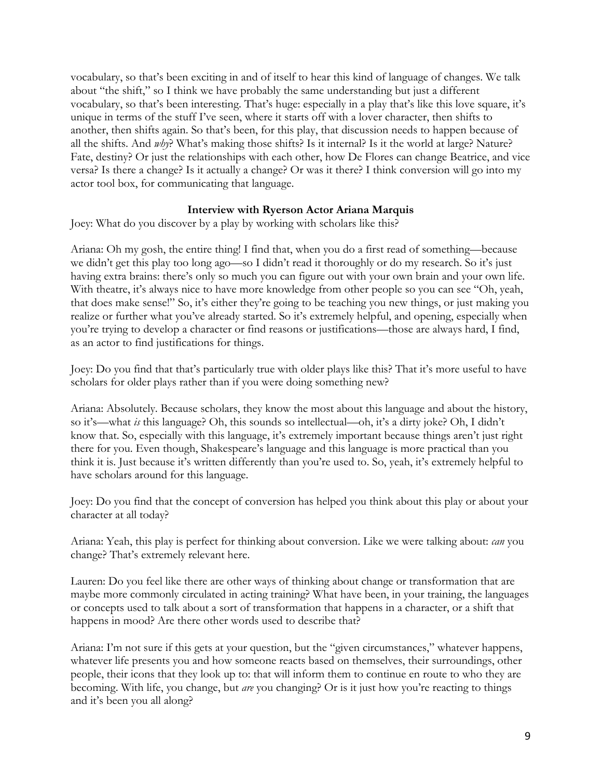vocabulary, so that's been exciting in and of itself to hear this kind of language of changes. We talk about "the shift," so I think we have probably the same understanding but just a different vocabulary, so that's been interesting. That's huge: especially in a play that's like this love square, it's unique in terms of the stuff I've seen, where it starts off with a lover character, then shifts to another, then shifts again. So that's been, for this play, that discussion needs to happen because of all the shifts. And *why*? What's making those shifts? Is it internal? Is it the world at large? Nature? Fate, destiny? Or just the relationships with each other, how De Flores can change Beatrice, and vice versa? Is there a change? Is it actually a change? Or was it there? I think conversion will go into my actor tool box, for communicating that language.

## **Interview with Ryerson Actor Ariana Marquis**

Joey: What do you discover by a play by working with scholars like this?

Ariana: Oh my gosh, the entire thing! I find that, when you do a first read of something—because we didn't get this play too long ago—so I didn't read it thoroughly or do my research. So it's just having extra brains: there's only so much you can figure out with your own brain and your own life. With theatre, it's always nice to have more knowledge from other people so you can see "Oh, yeah, that does make sense!" So, it's either they're going to be teaching you new things, or just making you realize or further what you've already started. So it's extremely helpful, and opening, especially when you're trying to develop a character or find reasons or justifications—those are always hard, I find, as an actor to find justifications for things.

Joey: Do you find that that's particularly true with older plays like this? That it's more useful to have scholars for older plays rather than if you were doing something new?

Ariana: Absolutely. Because scholars, they know the most about this language and about the history, so it's—what *is* this language? Oh, this sounds so intellectual—oh, it's a dirty joke? Oh, I didn't know that. So, especially with this language, it's extremely important because things aren't just right there for you. Even though, Shakespeare's language and this language is more practical than you think it is. Just because it's written differently than you're used to. So, yeah, it's extremely helpful to have scholars around for this language.

Joey: Do you find that the concept of conversion has helped you think about this play or about your character at all today?

Ariana: Yeah, this play is perfect for thinking about conversion. Like we were talking about: *can* you change? That's extremely relevant here.

Lauren: Do you feel like there are other ways of thinking about change or transformation that are maybe more commonly circulated in acting training? What have been, in your training, the languages or concepts used to talk about a sort of transformation that happens in a character, or a shift that happens in mood? Are there other words used to describe that?

Ariana: I'm not sure if this gets at your question, but the "given circumstances," whatever happens, whatever life presents you and how someone reacts based on themselves, their surroundings, other people, their icons that they look up to: that will inform them to continue en route to who they are becoming. With life, you change, but *are* you changing? Or is it just how you're reacting to things and it's been you all along?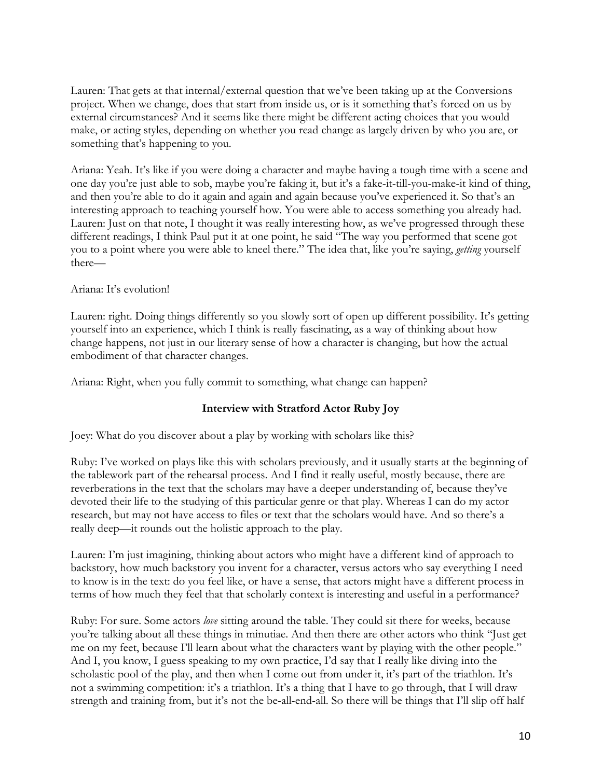Lauren: That gets at that internal/external question that we've been taking up at the Conversions project. When we change, does that start from inside us, or is it something that's forced on us by external circumstances? And it seems like there might be different acting choices that you would make, or acting styles, depending on whether you read change as largely driven by who you are, or something that's happening to you.

Ariana: Yeah. It's like if you were doing a character and maybe having a tough time with a scene and one day you're just able to sob, maybe you're faking it, but it's a fake-it-till-you-make-it kind of thing, and then you're able to do it again and again and again because you've experienced it. So that's an interesting approach to teaching yourself how. You were able to access something you already had. Lauren: Just on that note, I thought it was really interesting how, as we've progressed through these different readings, I think Paul put it at one point, he said "The way you performed that scene got you to a point where you were able to kneel there." The idea that, like you're saying, *getting* yourself there—

## Ariana: It's evolution!

Lauren: right. Doing things differently so you slowly sort of open up different possibility. It's getting yourself into an experience, which I think is really fascinating, as a way of thinking about how change happens, not just in our literary sense of how a character is changing, but how the actual embodiment of that character changes.

Ariana: Right, when you fully commit to something, what change can happen?

# **Interview with Stratford Actor Ruby Joy**

Joey: What do you discover about a play by working with scholars like this?

Ruby: I've worked on plays like this with scholars previously, and it usually starts at the beginning of the tablework part of the rehearsal process. And I find it really useful, mostly because, there are reverberations in the text that the scholars may have a deeper understanding of, because they've devoted their life to the studying of this particular genre or that play. Whereas I can do my actor research, but may not have access to files or text that the scholars would have. And so there's a really deep—it rounds out the holistic approach to the play.

Lauren: I'm just imagining, thinking about actors who might have a different kind of approach to backstory, how much backstory you invent for a character, versus actors who say everything I need to know is in the text: do you feel like, or have a sense, that actors might have a different process in terms of how much they feel that that scholarly context is interesting and useful in a performance?

Ruby: For sure. Some actors *love* sitting around the table. They could sit there for weeks, because you're talking about all these things in minutiae. And then there are other actors who think "Just get me on my feet, because I'll learn about what the characters want by playing with the other people." And I, you know, I guess speaking to my own practice, I'd say that I really like diving into the scholastic pool of the play, and then when I come out from under it, it's part of the triathlon. It's not a swimming competition: it's a triathlon. It's a thing that I have to go through, that I will draw strength and training from, but it's not the be-all-end-all. So there will be things that I'll slip off half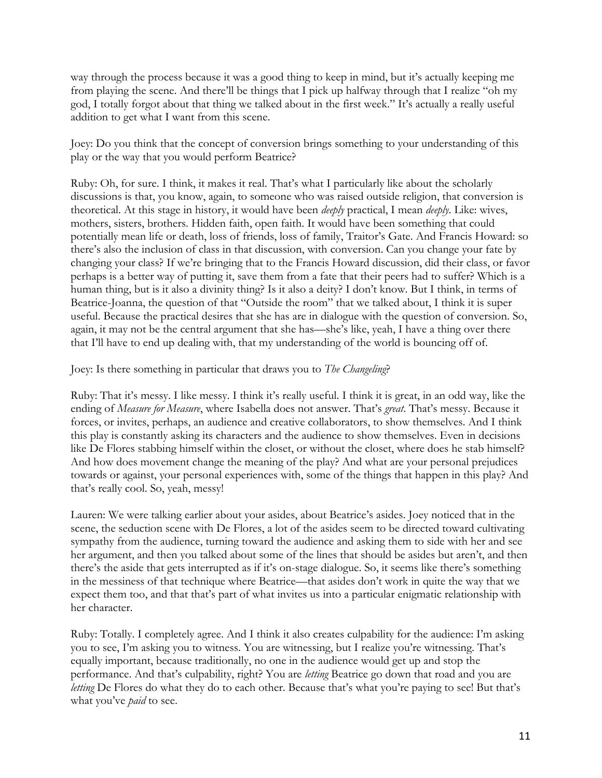way through the process because it was a good thing to keep in mind, but it's actually keeping me from playing the scene. And there'll be things that I pick up halfway through that I realize "oh my god, I totally forgot about that thing we talked about in the first week." It's actually a really useful addition to get what I want from this scene.

Joey: Do you think that the concept of conversion brings something to your understanding of this play or the way that you would perform Beatrice?

Ruby: Oh, for sure. I think, it makes it real. That's what I particularly like about the scholarly discussions is that, you know, again, to someone who was raised outside religion, that conversion is theoretical. At this stage in history, it would have been *deeply* practical, I mean *deeply*. Like: wives, mothers, sisters, brothers. Hidden faith, open faith. It would have been something that could potentially mean life or death, loss of friends, loss of family, Traitor's Gate. And Francis Howard: so there's also the inclusion of class in that discussion, with conversion. Can you change your fate by changing your class? If we're bringing that to the Francis Howard discussion, did their class, or favor perhaps is a better way of putting it, save them from a fate that their peers had to suffer? Which is a human thing, but is it also a divinity thing? Is it also a deity? I don't know. But I think, in terms of Beatrice-Joanna, the question of that "Outside the room" that we talked about, I think it is super useful. Because the practical desires that she has are in dialogue with the question of conversion. So, again, it may not be the central argument that she has—she's like, yeah, I have a thing over there that I'll have to end up dealing with, that my understanding of the world is bouncing off of.

Joey: Is there something in particular that draws you to *The Changeling*?

Ruby: That it's messy. I like messy. I think it's really useful. I think it is great, in an odd way, like the ending of *Measure for Measure*, where Isabella does not answer. That's *great*. That's messy. Because it forces, or invites, perhaps, an audience and creative collaborators, to show themselves. And I think this play is constantly asking its characters and the audience to show themselves. Even in decisions like De Flores stabbing himself within the closet, or without the closet, where does he stab himself? And how does movement change the meaning of the play? And what are your personal prejudices towards or against, your personal experiences with, some of the things that happen in this play? And that's really cool. So, yeah, messy!

Lauren: We were talking earlier about your asides, about Beatrice's asides. Joey noticed that in the scene, the seduction scene with De Flores, a lot of the asides seem to be directed toward cultivating sympathy from the audience, turning toward the audience and asking them to side with her and see her argument, and then you talked about some of the lines that should be asides but aren't, and then there's the aside that gets interrupted as if it's on-stage dialogue. So, it seems like there's something in the messiness of that technique where Beatrice—that asides don't work in quite the way that we expect them too, and that that's part of what invites us into a particular enigmatic relationship with her character.

Ruby: Totally. I completely agree. And I think it also creates culpability for the audience: I'm asking you to see, I'm asking you to witness. You are witnessing, but I realize you're witnessing. That's equally important, because traditionally, no one in the audience would get up and stop the performance. And that's culpability, right? You are *letting* Beatrice go down that road and you are *letting* De Flores do what they do to each other. Because that's what you're paying to see! But that's what you've *paid* to see.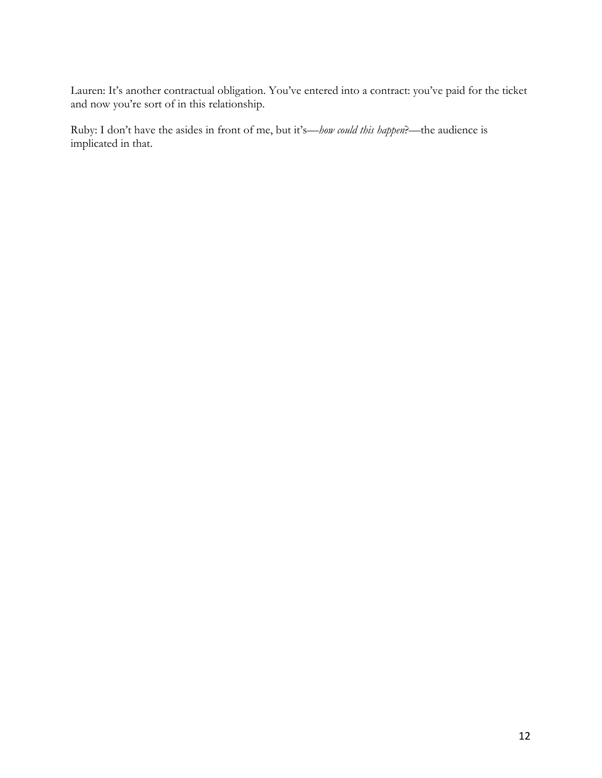Lauren: It's another contractual obligation. You've entered into a contract: you've paid for the ticket and now you're sort of in this relationship.

Ruby: I don't have the asides in front of me, but it's—*how could this happen*?—the audience is implicated in that.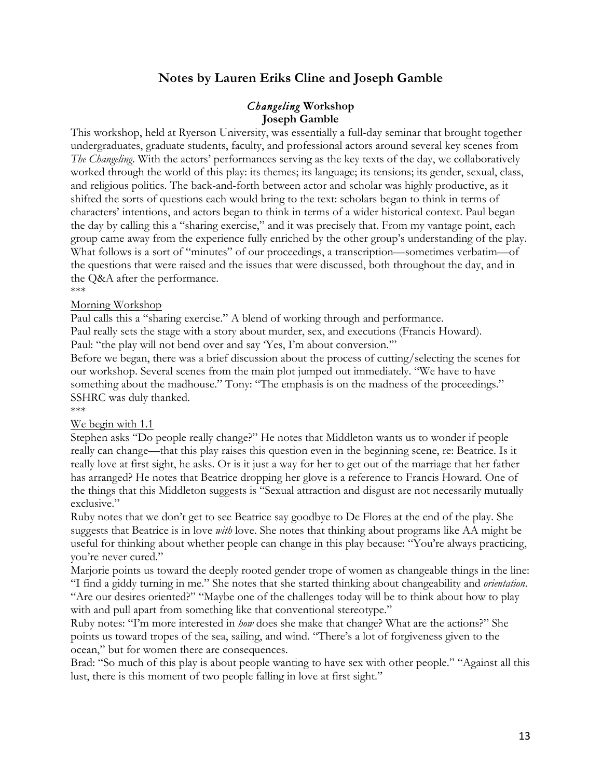# **Notes by Lauren Eriks Cline and Joseph Gamble**

### *Changeling* **Workshop Joseph Gamble**

This workshop, held at Ryerson University, was essentially a full-day seminar that brought together undergraduates, graduate students, faculty, and professional actors around several key scenes from *The Changeling*. With the actors' performances serving as the key texts of the day, we collaboratively worked through the world of this play: its themes; its language; its tensions; its gender, sexual, class, and religious politics. The back-and-forth between actor and scholar was highly productive, as it shifted the sorts of questions each would bring to the text: scholars began to think in terms of characters' intentions, and actors began to think in terms of a wider historical context. Paul began the day by calling this a "sharing exercise," and it was precisely that. From my vantage point, each group came away from the experience fully enriched by the other group's understanding of the play. What follows is a sort of "minutes" of our proceedings, a transcription—sometimes verbatim—of the questions that were raised and the issues that were discussed, both throughout the day, and in the Q&A after the performance.

#### \*\*\*

#### Morning Workshop

Paul calls this a "sharing exercise." A blend of working through and performance.

Paul really sets the stage with a story about murder, sex, and executions (Francis Howard). Paul: "the play will not bend over and say 'Yes, I'm about conversion.""

Before we began, there was a brief discussion about the process of cutting/selecting the scenes for our workshop. Several scenes from the main plot jumped out immediately. "We have to have something about the madhouse." Tony: "The emphasis is on the madness of the proceedings." SSHRC was duly thanked.

\*\*\*

#### We begin with 1.1

Stephen asks "Do people really change?" He notes that Middleton wants us to wonder if people really can change—that this play raises this question even in the beginning scene, re: Beatrice. Is it really love at first sight, he asks. Or is it just a way for her to get out of the marriage that her father has arranged? He notes that Beatrice dropping her glove is a reference to Francis Howard. One of the things that this Middleton suggests is "Sexual attraction and disgust are not necessarily mutually exclusive."

Ruby notes that we don't get to see Beatrice say goodbye to De Flores at the end of the play. She suggests that Beatrice is in love *with* love. She notes that thinking about programs like AA might be useful for thinking about whether people can change in this play because: "You're always practicing, you're never cured."

Marjorie points us toward the deeply rooted gender trope of women as changeable things in the line: "I find a giddy turning in me." She notes that she started thinking about changeability and *orientation*. "Are our desires oriented?" "Maybe one of the challenges today will be to think about how to play with and pull apart from something like that conventional stereotype."

Ruby notes: "I'm more interested in *how* does she make that change? What are the actions?" She points us toward tropes of the sea, sailing, and wind. "There's a lot of forgiveness given to the ocean," but for women there are consequences.

Brad: "So much of this play is about people wanting to have sex with other people." "Against all this lust, there is this moment of two people falling in love at first sight."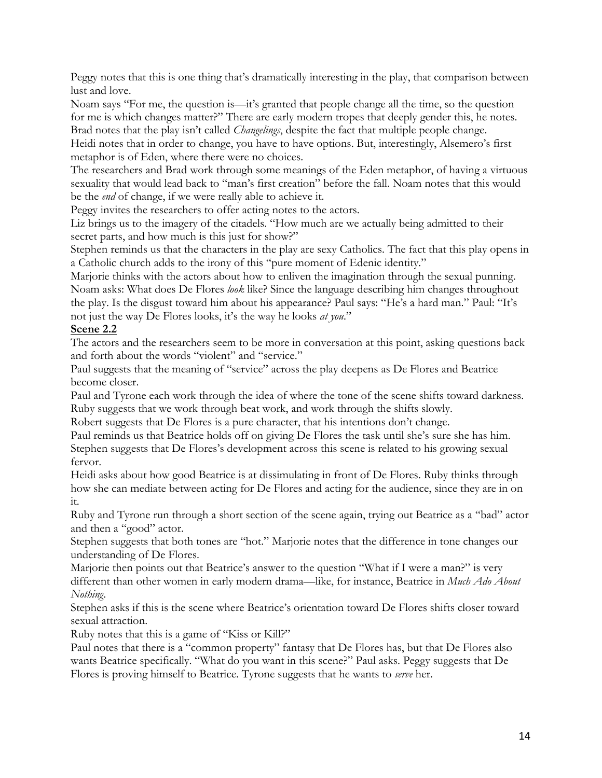Peggy notes that this is one thing that's dramatically interesting in the play, that comparison between lust and love.

Noam says "For me, the question is—it's granted that people change all the time, so the question for me is which changes matter?" There are early modern tropes that deeply gender this, he notes. Brad notes that the play isn't called *Changelings*, despite the fact that multiple people change.

Heidi notes that in order to change, you have to have options. But, interestingly, Alsemero's first metaphor is of Eden, where there were no choices.

The researchers and Brad work through some meanings of the Eden metaphor, of having a virtuous sexuality that would lead back to "man's first creation" before the fall. Noam notes that this would be the *end* of change, if we were really able to achieve it.

Peggy invites the researchers to offer acting notes to the actors.

Liz brings us to the imagery of the citadels. "How much are we actually being admitted to their secret parts, and how much is this just for show?"

Stephen reminds us that the characters in the play are sexy Catholics. The fact that this play opens in a Catholic church adds to the irony of this "pure moment of Edenic identity."

Marjorie thinks with the actors about how to enliven the imagination through the sexual punning. Noam asks: What does De Flores *look* like? Since the language describing him changes throughout the play. Is the disgust toward him about his appearance? Paul says: "He's a hard man." Paul: "It's not just the way De Flores looks, it's the way he looks *at you*."

# **Scene 2.2**

The actors and the researchers seem to be more in conversation at this point, asking questions back and forth about the words "violent" and "service."

Paul suggests that the meaning of "service" across the play deepens as De Flores and Beatrice become closer.

Paul and Tyrone each work through the idea of where the tone of the scene shifts toward darkness. Ruby suggests that we work through beat work, and work through the shifts slowly.

Robert suggests that De Flores is a pure character, that his intentions don't change.

Paul reminds us that Beatrice holds off on giving De Flores the task until she's sure she has him. Stephen suggests that De Flores's development across this scene is related to his growing sexual fervor.

Heidi asks about how good Beatrice is at dissimulating in front of De Flores. Ruby thinks through how she can mediate between acting for De Flores and acting for the audience, since they are in on it.

Ruby and Tyrone run through a short section of the scene again, trying out Beatrice as a "bad" actor and then a "good" actor.

Stephen suggests that both tones are "hot." Marjorie notes that the difference in tone changes our understanding of De Flores.

Marjorie then points out that Beatrice's answer to the question "What if I were a man?" is very different than other women in early modern drama—like, for instance, Beatrice in *Much Ado About Nothing*.

Stephen asks if this is the scene where Beatrice's orientation toward De Flores shifts closer toward sexual attraction.

Ruby notes that this is a game of "Kiss or Kill?"

Paul notes that there is a "common property" fantasy that De Flores has, but that De Flores also wants Beatrice specifically. "What do you want in this scene?" Paul asks. Peggy suggests that De Flores is proving himself to Beatrice. Tyrone suggests that he wants to *serve* her.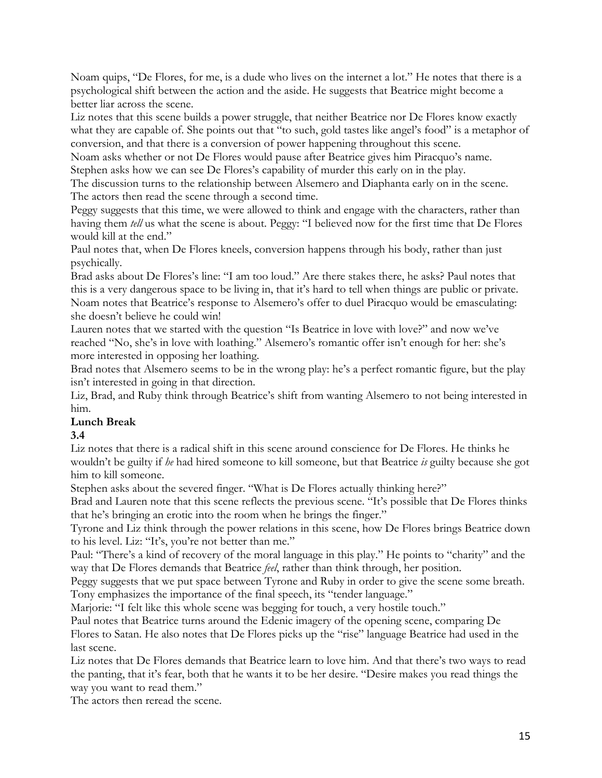Noam quips, "De Flores, for me, is a dude who lives on the internet a lot." He notes that there is a psychological shift between the action and the aside. He suggests that Beatrice might become a better liar across the scene.

Liz notes that this scene builds a power struggle, that neither Beatrice nor De Flores know exactly what they are capable of. She points out that "to such, gold tastes like angel's food" is a metaphor of conversion, and that there is a conversion of power happening throughout this scene.

Noam asks whether or not De Flores would pause after Beatrice gives him Piracquo's name. Stephen asks how we can see De Flores's capability of murder this early on in the play.

The discussion turns to the relationship between Alsemero and Diaphanta early on in the scene. The actors then read the scene through a second time.

Peggy suggests that this time, we were allowed to think and engage with the characters, rather than having them *tell* us what the scene is about. Peggy: "I believed now for the first time that De Flores would kill at the end."

Paul notes that, when De Flores kneels, conversion happens through his body, rather than just psychically.

Brad asks about De Flores's line: "I am too loud." Are there stakes there, he asks? Paul notes that this is a very dangerous space to be living in, that it's hard to tell when things are public or private. Noam notes that Beatrice's response to Alsemero's offer to duel Piracquo would be emasculating: she doesn't believe he could win!

Lauren notes that we started with the question "Is Beatrice in love with love?" and now we've reached "No, she's in love with loathing." Alsemero's romantic offer isn't enough for her: she's more interested in opposing her loathing.

Brad notes that Alsemero seems to be in the wrong play: he's a perfect romantic figure, but the play isn't interested in going in that direction.

Liz, Brad, and Ruby think through Beatrice's shift from wanting Alsemero to not being interested in him.

# **Lunch Break**

# **3.4**

Liz notes that there is a radical shift in this scene around conscience for De Flores. He thinks he wouldn't be guilty if *he* had hired someone to kill someone, but that Beatrice *is* guilty because she got him to kill someone.

Stephen asks about the severed finger. "What is De Flores actually thinking here?"

Brad and Lauren note that this scene reflects the previous scene. "It's possible that De Flores thinks that he's bringing an erotic into the room when he brings the finger."

Tyrone and Liz think through the power relations in this scene, how De Flores brings Beatrice down to his level. Liz: "It's, you're not better than me."

Paul: "There's a kind of recovery of the moral language in this play." He points to "charity" and the way that De Flores demands that Beatrice *feel*, rather than think through, her position.

Peggy suggests that we put space between Tyrone and Ruby in order to give the scene some breath. Tony emphasizes the importance of the final speech, its "tender language."

Marjorie: "I felt like this whole scene was begging for touch, a very hostile touch."

Paul notes that Beatrice turns around the Edenic imagery of the opening scene, comparing De Flores to Satan. He also notes that De Flores picks up the "rise" language Beatrice had used in the last scene.

Liz notes that De Flores demands that Beatrice learn to love him. And that there's two ways to read the panting, that it's fear, both that he wants it to be her desire. "Desire makes you read things the way you want to read them."

The actors then reread the scene.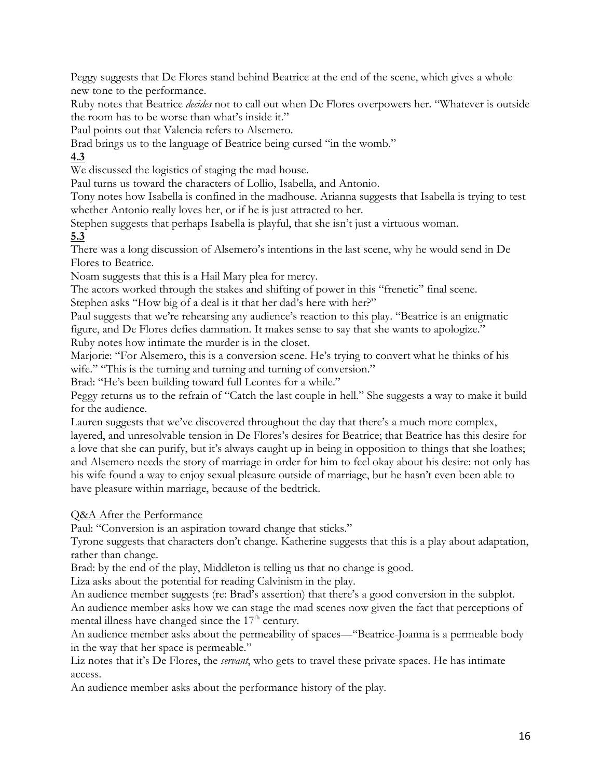Peggy suggests that De Flores stand behind Beatrice at the end of the scene, which gives a whole new tone to the performance.

Ruby notes that Beatrice *decides* not to call out when De Flores overpowers her. "Whatever is outside the room has to be worse than what's inside it."

Paul points out that Valencia refers to Alsemero.

Brad brings us to the language of Beatrice being cursed "in the womb."

# **4.3**

We discussed the logistics of staging the mad house.

Paul turns us toward the characters of Lollio, Isabella, and Antonio.

Tony notes how Isabella is confined in the madhouse. Arianna suggests that Isabella is trying to test whether Antonio really loves her, or if he is just attracted to her.

Stephen suggests that perhaps Isabella is playful, that she isn't just a virtuous woman.

# **5.3**

There was a long discussion of Alsemero's intentions in the last scene, why he would send in De Flores to Beatrice.

Noam suggests that this is a Hail Mary plea for mercy.

The actors worked through the stakes and shifting of power in this "frenetic" final scene.

Stephen asks "How big of a deal is it that her dad's here with her?"

Paul suggests that we're rehearsing any audience's reaction to this play. "Beatrice is an enigmatic figure, and De Flores defies damnation. It makes sense to say that she wants to apologize." Ruby notes how intimate the murder is in the closet.

Marjorie: "For Alsemero, this is a conversion scene. He's trying to convert what he thinks of his wife." "This is the turning and turning and turning of conversion."

Brad: "He's been building toward full Leontes for a while."

Peggy returns us to the refrain of "Catch the last couple in hell." She suggests a way to make it build for the audience.

Lauren suggests that we've discovered throughout the day that there's a much more complex,

layered, and unresolvable tension in De Flores's desires for Beatrice; that Beatrice has this desire for a love that she can purify, but it's always caught up in being in opposition to things that she loathes; and Alsemero needs the story of marriage in order for him to feel okay about his desire: not only has his wife found a way to enjoy sexual pleasure outside of marriage, but he hasn't even been able to have pleasure within marriage, because of the bedtrick.

Q&A After the Performance

Paul: "Conversion is an aspiration toward change that sticks."

Tyrone suggests that characters don't change. Katherine suggests that this is a play about adaptation, rather than change.

Brad: by the end of the play, Middleton is telling us that no change is good.

Liza asks about the potential for reading Calvinism in the play.

An audience member suggests (re: Brad's assertion) that there's a good conversion in the subplot. An audience member asks how we can stage the mad scenes now given the fact that perceptions of mental illness have changed since the  $17<sup>th</sup>$  century.

An audience member asks about the permeability of spaces—"Beatrice-Joanna is a permeable body in the way that her space is permeable."

Liz notes that it's De Flores, the *servant*, who gets to travel these private spaces. He has intimate access.

An audience member asks about the performance history of the play.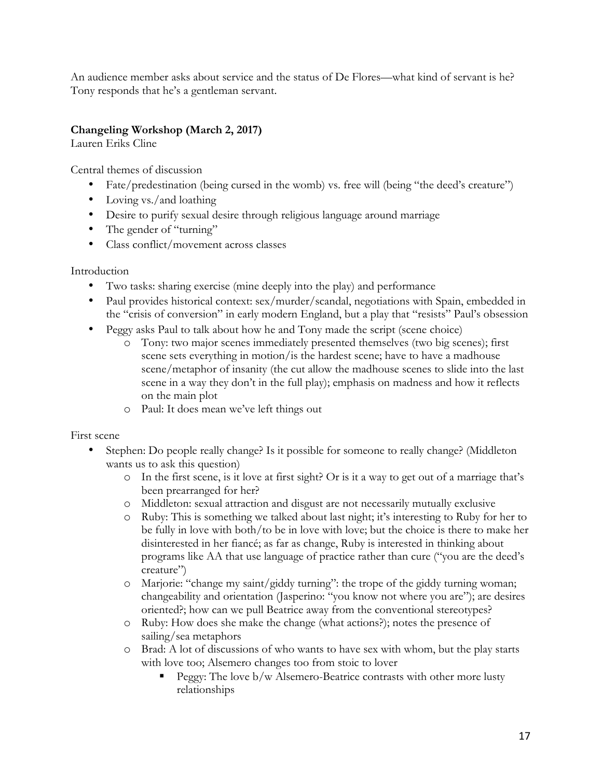An audience member asks about service and the status of De Flores—what kind of servant is he? Tony responds that he's a gentleman servant.

# **Changeling Workshop (March 2, 2017)**

Lauren Eriks Cline

Central themes of discussion

- Fate/predestination (being cursed in the womb) vs. free will (being "the deed's creature")
- Loving vs./and loathing
- Desire to purify sexual desire through religious language around marriage
- The gender of "turning"
- Class conflict/movement across classes

Introduction

- Two tasks: sharing exercise (mine deeply into the play) and performance
- Paul provides historical context: sex/murder/scandal, negotiations with Spain, embedded in the "crisis of conversion" in early modern England, but a play that "resists" Paul's obsession
- Peggy asks Paul to talk about how he and Tony made the script (scene choice)
	- o Tony: two major scenes immediately presented themselves (two big scenes); first scene sets everything in motion/is the hardest scene; have to have a madhouse scene/metaphor of insanity (the cut allow the madhouse scenes to slide into the last scene in a way they don't in the full play); emphasis on madness and how it reflects on the main plot
	- o Paul: It does mean we've left things out

First scene

- Stephen: Do people really change? Is it possible for someone to really change? (Middleton wants us to ask this question)
	- o In the first scene, is it love at first sight? Or is it a way to get out of a marriage that's been prearranged for her?
	- o Middleton: sexual attraction and disgust are not necessarily mutually exclusive
	- o Ruby: This is something we talked about last night; it's interesting to Ruby for her to be fully in love with both/to be in love with love; but the choice is there to make her disinterested in her fiancé; as far as change, Ruby is interested in thinking about programs like AA that use language of practice rather than cure ("you are the deed's creature")
	- o Marjorie: "change my saint/giddy turning": the trope of the giddy turning woman; changeability and orientation (Jasperino: "you know not where you are"); are desires oriented?; how can we pull Beatrice away from the conventional stereotypes?
	- o Ruby: How does she make the change (what actions?); notes the presence of sailing/sea metaphors
	- o Brad: A lot of discussions of who wants to have sex with whom, but the play starts with love too; Alsemero changes too from stoic to lover
		- § Peggy: The love b/w Alsemero-Beatrice contrasts with other more lusty relationships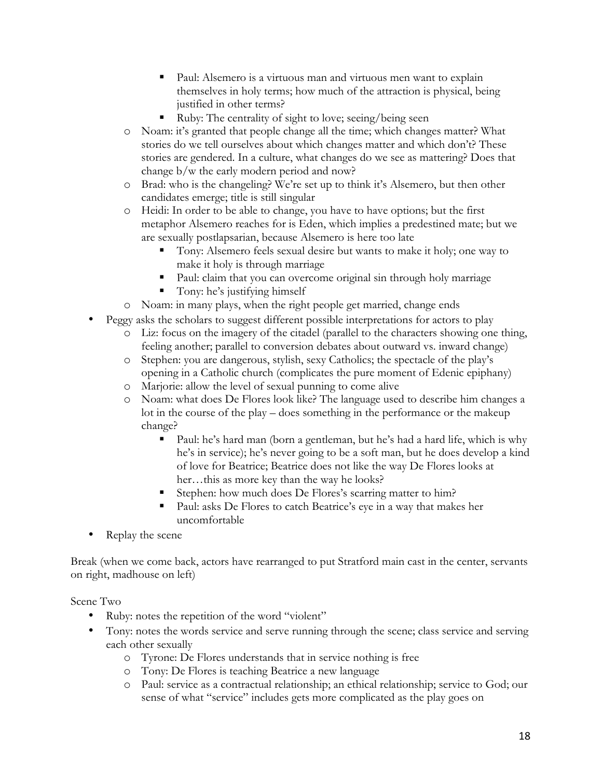- Paul: Alsemero is a virtuous man and virtuous men want to explain themselves in holy terms; how much of the attraction is physical, being justified in other terms?
- § Ruby: The centrality of sight to love; seeing/being seen
- o Noam: it's granted that people change all the time; which changes matter? What stories do we tell ourselves about which changes matter and which don't? These stories are gendered. In a culture, what changes do we see as mattering? Does that change b/w the early modern period and now?
- o Brad: who is the changeling? We're set up to think it's Alsemero, but then other candidates emerge; title is still singular
- o Heidi: In order to be able to change, you have to have options; but the first metaphor Alsemero reaches for is Eden, which implies a predestined mate; but we are sexually postlapsarian, because Alsemero is here too late
	- § Tony: Alsemero feels sexual desire but wants to make it holy; one way to make it holy is through marriage
	- Paul: claim that you can overcome original sin through holy marriage
	- Tony: he's justifying himself
- o Noam: in many plays, when the right people get married, change ends
- Peggy asks the scholars to suggest different possible interpretations for actors to play
	- o Liz: focus on the imagery of the citadel (parallel to the characters showing one thing, feeling another; parallel to conversion debates about outward vs. inward change)
	- o Stephen: you are dangerous, stylish, sexy Catholics; the spectacle of the play's opening in a Catholic church (complicates the pure moment of Edenic epiphany)
	- o Marjorie: allow the level of sexual punning to come alive
	- o Noam: what does De Flores look like? The language used to describe him changes a lot in the course of the play – does something in the performance or the makeup change?
		- Paul: he's hard man (born a gentleman, but he's had a hard life, which is why he's in service); he's never going to be a soft man, but he does develop a kind of love for Beatrice; Beatrice does not like the way De Flores looks at her…this as more key than the way he looks?
		- § Stephen: how much does De Flores's scarring matter to him?
		- Paul: asks De Flores to catch Beatrice's eye in a way that makes her uncomfortable
- Replay the scene

Break (when we come back, actors have rearranged to put Stratford main cast in the center, servants on right, madhouse on left)

Scene Two

- Ruby: notes the repetition of the word "violent"
- Tony: notes the words service and serve running through the scene; class service and serving each other sexually
	- o Tyrone: De Flores understands that in service nothing is free
	- o Tony: De Flores is teaching Beatrice a new language
	- o Paul: service as a contractual relationship; an ethical relationship; service to God; our sense of what "service" includes gets more complicated as the play goes on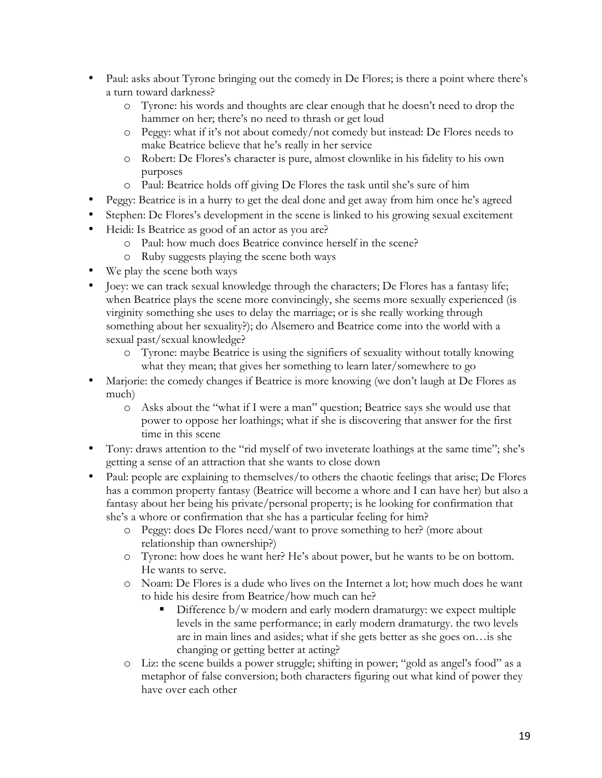- Paul: asks about Tyrone bringing out the comedy in De Flores; is there a point where there's a turn toward darkness?
	- o Tyrone: his words and thoughts are clear enough that he doesn't need to drop the hammer on her; there's no need to thrash or get loud
	- o Peggy: what if it's not about comedy/not comedy but instead: De Flores needs to make Beatrice believe that he's really in her service
	- o Robert: De Flores's character is pure, almost clownlike in his fidelity to his own purposes
	- o Paul: Beatrice holds off giving De Flores the task until she's sure of him
- Peggy: Beatrice is in a hurry to get the deal done and get away from him once he's agreed
- Stephen: De Flores's development in the scene is linked to his growing sexual excitement
- Heidi: Is Beatrice as good of an actor as you are?
	- o Paul: how much does Beatrice convince herself in the scene?
	- o Ruby suggests playing the scene both ways
- We play the scene both ways
- Joey: we can track sexual knowledge through the characters; De Flores has a fantasy life; when Beatrice plays the scene more convincingly, she seems more sexually experienced (is virginity something she uses to delay the marriage; or is she really working through something about her sexuality?); do Alsemero and Beatrice come into the world with a sexual past/sexual knowledge?
	- o Tyrone: maybe Beatrice is using the signifiers of sexuality without totally knowing what they mean; that gives her something to learn later/somewhere to go
- Marjorie: the comedy changes if Beatrice is more knowing (we don't laugh at De Flores as much)
	- o Asks about the "what if I were a man" question; Beatrice says she would use that power to oppose her loathings; what if she is discovering that answer for the first time in this scene
- Tony: draws attention to the "rid myself of two inveterate loathings at the same time"; she's getting a sense of an attraction that she wants to close down
- Paul: people are explaining to themselves/to others the chaotic feelings that arise; De Flores has a common property fantasy (Beatrice will become a whore and I can have her) but also a fantasy about her being his private/personal property; is he looking for confirmation that she's a whore or confirmation that she has a particular feeling for him?
	- o Peggy: does De Flores need/want to prove something to her? (more about relationship than ownership?)
	- o Tyrone: how does he want her? He's about power, but he wants to be on bottom. He wants to serve.
	- o Noam: De Flores is a dude who lives on the Internet a lot; how much does he want to hide his desire from Beatrice/how much can he?
		- Difference b/w modern and early modern dramaturgy: we expect multiple levels in the same performance; in early modern dramaturgy. the two levels are in main lines and asides; what if she gets better as she goes on…is she changing or getting better at acting?
	- o Liz: the scene builds a power struggle; shifting in power; "gold as angel's food" as a metaphor of false conversion; both characters figuring out what kind of power they have over each other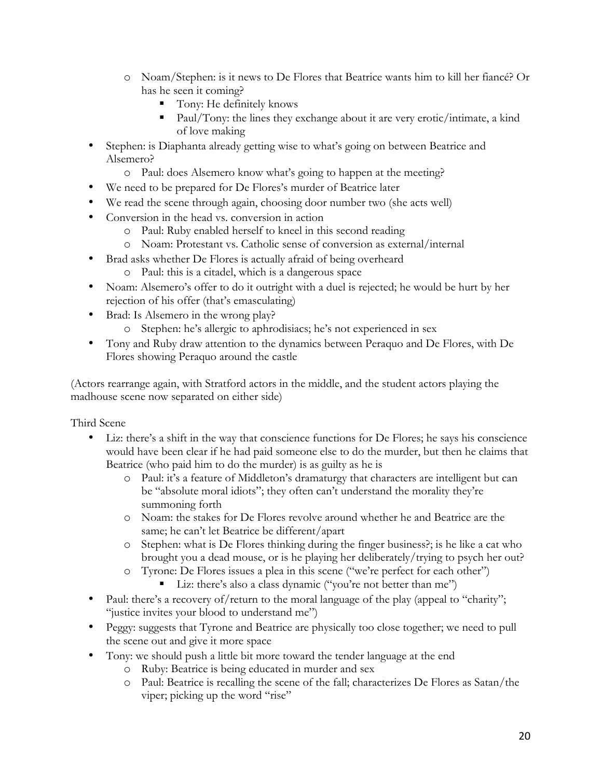- o Noam/Stephen: is it news to De Flores that Beatrice wants him to kill her fiancé? Or has he seen it coming?
	- Tony: He definitely knows
	- Paul/Tony: the lines they exchange about it are very erotic/intimate, a kind of love making
- Stephen: is Diaphanta already getting wise to what's going on between Beatrice and Alsemero?
	- o Paul: does Alsemero know what's going to happen at the meeting?
- We need to be prepared for De Flores's murder of Beatrice later
- We read the scene through again, choosing door number two (she acts well)
- Conversion in the head vs. conversion in action
	- o Paul: Ruby enabled herself to kneel in this second reading
	- o Noam: Protestant vs. Catholic sense of conversion as external/internal
- Brad asks whether De Flores is actually afraid of being overheard o Paul: this is a citadel, which is a dangerous space
- Noam: Alsemero's offer to do it outright with a duel is rejected; he would be hurt by her rejection of his offer (that's emasculating)
- Brad: Is Alsemero in the wrong play?
	- o Stephen: he's allergic to aphrodisiacs; he's not experienced in sex
- Tony and Ruby draw attention to the dynamics between Peraquo and De Flores, with De Flores showing Peraquo around the castle

(Actors rearrange again, with Stratford actors in the middle, and the student actors playing the madhouse scene now separated on either side)

Third Scene

- Liz: there's a shift in the way that conscience functions for De Flores; he says his conscience would have been clear if he had paid someone else to do the murder, but then he claims that Beatrice (who paid him to do the murder) is as guilty as he is
	- o Paul: it's a feature of Middleton's dramaturgy that characters are intelligent but can be "absolute moral idiots"; they often can't understand the morality they're summoning forth
	- o Noam: the stakes for De Flores revolve around whether he and Beatrice are the same; he can't let Beatrice be different/apart
	- o Stephen: what is De Flores thinking during the finger business?; is he like a cat who brought you a dead mouse, or is he playing her deliberately/trying to psych her out?
	- o Tyrone: De Flores issues a plea in this scene ("we're perfect for each other")
		- Liz: there's also a class dynamic ("you're not better than me")
- Paul: there's a recovery of/return to the moral language of the play (appeal to "charity"; "justice invites your blood to understand me")
- Peggy: suggests that Tyrone and Beatrice are physically too close together; we need to pull the scene out and give it more space
- Tony: we should push a little bit more toward the tender language at the end
	- o Ruby: Beatrice is being educated in murder and sex
	- o Paul: Beatrice is recalling the scene of the fall; characterizes De Flores as Satan/the viper; picking up the word "rise"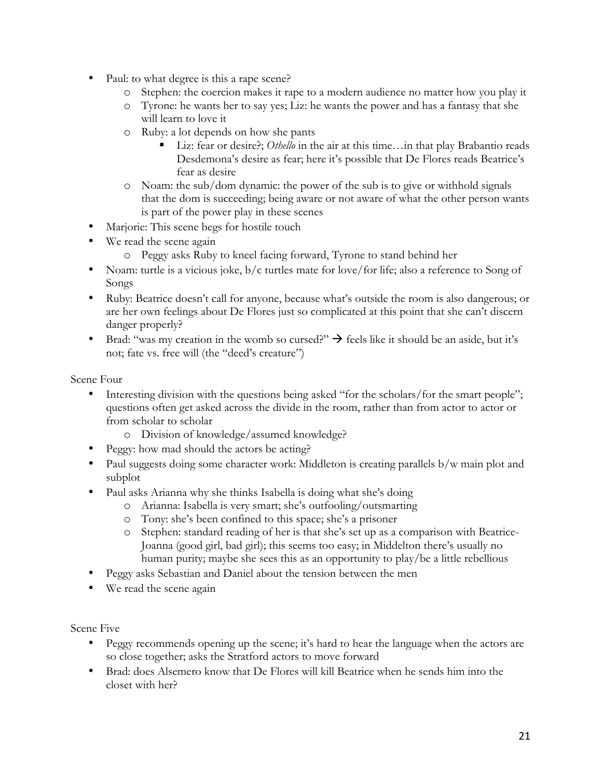- Paul: to what degree is this a rape scene?
	- o Stephen: the coercion makes it rape to a modern audience no matter how you play it
	- o Tyrone: he wants her to say yes; Liz: he wants the power and has a fantasy that she will learn to love it
	- o Ruby: a lot depends on how she pants
		- Liz: fear or desire?; *Othello* in the air at this time...in that play Brabantio reads Desdemona's desire as fear; here it's possible that De Flores reads Beatrice's fear as desire
	- o Noam: the sub/dom dynamic: the power of the sub is to give or withhold signals that the dom is succeeding; being aware or not aware of what the other person wants is part of the power play in these scenes
- Marjorie: This scene begs for hostile touch
- We read the scene again
	- o Peggy asks Ruby to kneel facing forward, Tyrone to stand behind her
- Noam: turtle is a vicious joke, b/c turtles mate for love/for life; also a reference to Song of Songs
- Ruby: Beatrice doesn't call for anyone, because what's outside the room is also dangerous; or are her own feelings about De Flores just so complicated at this point that she can't discern danger properly?
- Brad: "was my creation in the womb so cursed?"  $\rightarrow$  feels like it should be an aside, but it's not; fate vs. free will (the "deed's creature")

Scene Four

- Interesting division with the questions being asked "for the scholars/for the smart people"; questions often get asked across the divide in the room, rather than from actor to actor or from scholar to scholar
	- o Division of knowledge/assumed knowledge?
- Peggy: how mad should the actors be acting?
- Paul suggests doing some character work: Middleton is creating parallels b/w main plot and subplot
- Paul asks Arianna why she thinks Isabella is doing what she's doing
	- o Arianna: Isabella is very smart; she's outfooling/outsmarting
	- o Tony: she's been confined to this space; she's a prisoner
	- o Stephen: standard reading of her is that she's set up as a comparison with Beatrice-Joanna (good girl, bad girl); this seems too easy; in Middelton there's usually no human purity; maybe she sees this as an opportunity to play/be a little rebellious
- Peggy asks Sebastian and Daniel about the tension between the men
- We read the scene again

Scene Five

- Peggy recommends opening up the scene; it's hard to hear the language when the actors are so close together; asks the Stratford actors to move forward
- Brad: does Alsemero know that De Flores will kill Beatrice when he sends him into the closet with her?